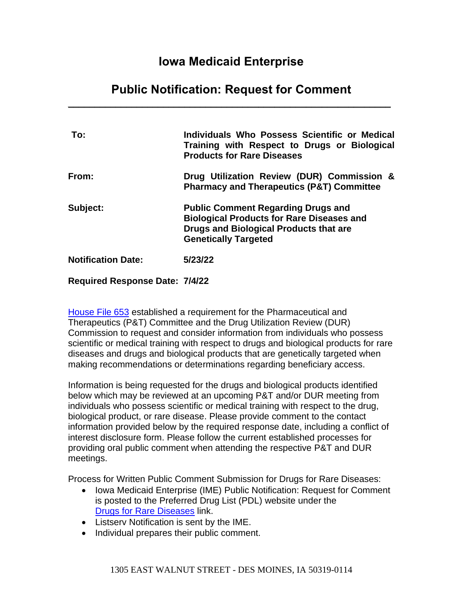# **Iowa Medicaid Enterprise**

# **Public Notification: Request for Comment** \_\_\_\_\_\_\_\_\_\_\_\_\_\_\_\_\_\_\_\_\_\_\_\_\_\_\_\_\_\_\_\_\_\_\_\_\_\_\_\_\_\_\_\_\_\_\_\_\_\_\_\_\_\_\_\_\_\_\_\_\_

| To:                       | Individuals Who Possess Scientific or Medical<br>Training with Respect to Drugs or Biological<br><b>Products for Rare Diseases</b>                                            |
|---------------------------|-------------------------------------------------------------------------------------------------------------------------------------------------------------------------------|
| From:                     | Drug Utilization Review (DUR) Commission &<br><b>Pharmacy and Therapeutics (P&amp;T) Committee</b>                                                                            |
| Subject:                  | <b>Public Comment Regarding Drugs and</b><br><b>Biological Products for Rare Diseases and</b><br><b>Drugs and Biological Products that are</b><br><b>Genetically Targeted</b> |
| <b>Notification Date:</b> | 5/23/22                                                                                                                                                                       |
|                           |                                                                                                                                                                               |

#### **Required Response Date: 7/4/22**

[House File 653](https://www.legis.iowa.gov/legislation/BillBook?ga=87&ba=HF%20653) established a requirement for the Pharmaceutical and Therapeutics (P&T) Committee and the Drug Utilization Review (DUR) Commission to request and consider information from individuals who possess scientific or medical training with respect to drugs and biological products for rare diseases and drugs and biological products that are genetically targeted when making recommendations or determinations regarding beneficiary access.

Information is being requested for the drugs and biological products identified below which may be reviewed at an upcoming P&T and/or DUR meeting from individuals who possess scientific or medical training with respect to the drug, biological product, or rare disease. Please provide comment to the contact information provided below by the required response date, including a conflict of interest disclosure form. Please follow the current established processes for providing oral public comment when attending the respective P&T and DUR meetings.

Process for Written Public Comment Submission for Drugs for Rare Diseases:

- Iowa Medicaid Enterprise (IME) Public Notification: Request for Comment is posted to the Preferred Drug List (PDL) website under the [Drugs for Rare Diseases](http://www.iowamedicaidpdl.com/drugs_rare_diseases_info) link.
- Listserv Notification is sent by the IME.
- Individual prepares their public comment.